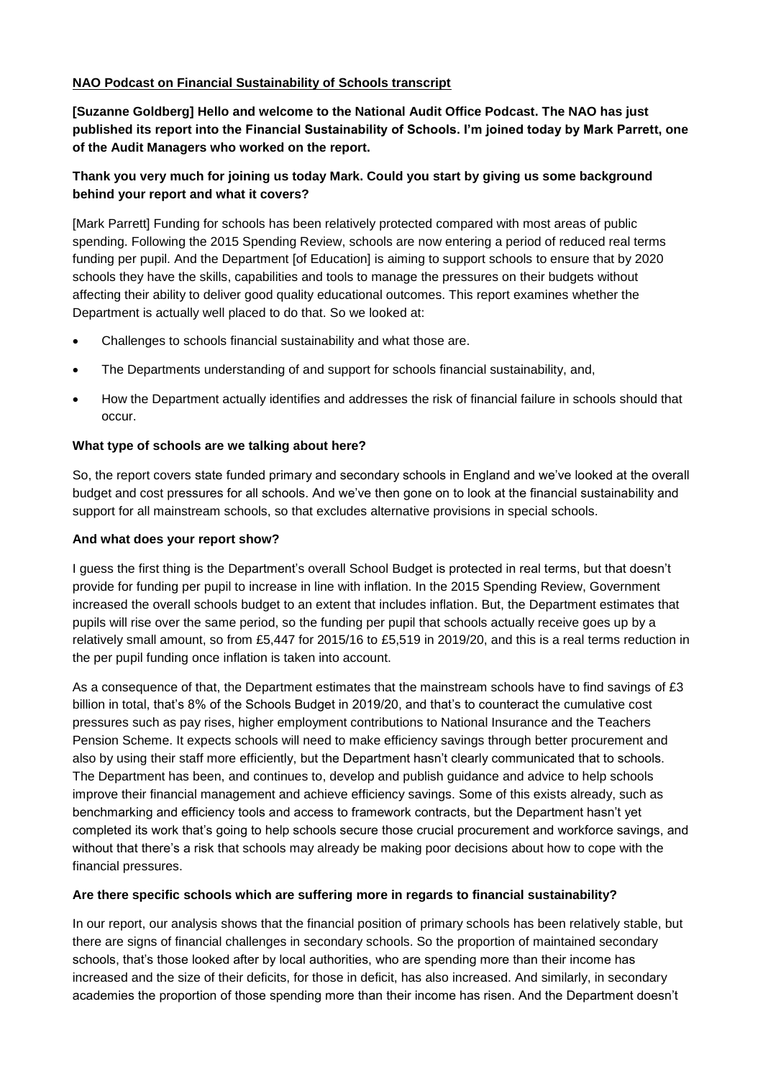## **NAO Podcast on Financial Sustainability of Schools transcript**

**[Suzanne Goldberg] Hello and welcome to the National Audit Office Podcast. The NAO has just published its report into the Financial Sustainability of Schools. I'm joined today by Mark Parrett, one of the Audit Managers who worked on the report.** 

# **Thank you very much for joining us today Mark. Could you start by giving us some background behind your report and what it covers?**

[Mark Parrett] Funding for schools has been relatively protected compared with most areas of public spending. Following the 2015 Spending Review, schools are now entering a period of reduced real terms funding per pupil. And the Department [of Education] is aiming to support schools to ensure that by 2020 schools they have the skills, capabilities and tools to manage the pressures on their budgets without affecting their ability to deliver good quality educational outcomes. This report examines whether the Department is actually well placed to do that. So we looked at:

- Challenges to schools financial sustainability and what those are.
- The Departments understanding of and support for schools financial sustainability, and,
- How the Department actually identifies and addresses the risk of financial failure in schools should that occur.

#### **What type of schools are we talking about here?**

So, the report covers state funded primary and secondary schools in England and we've looked at the overall budget and cost pressures for all schools. And we've then gone on to look at the financial sustainability and support for all mainstream schools, so that excludes alternative provisions in special schools.

#### **And what does your report show?**

I guess the first thing is the Department's overall School Budget is protected in real terms, but that doesn't provide for funding per pupil to increase in line with inflation. In the 2015 Spending Review, Government increased the overall schools budget to an extent that includes inflation. But, the Department estimates that pupils will rise over the same period, so the funding per pupil that schools actually receive goes up by a relatively small amount, so from £5,447 for 2015/16 to £5,519 in 2019/20, and this is a real terms reduction in the per pupil funding once inflation is taken into account.

As a consequence of that, the Department estimates that the mainstream schools have to find savings of £3 billion in total, that's 8% of the Schools Budget in 2019/20, and that's to counteract the cumulative cost pressures such as pay rises, higher employment contributions to National Insurance and the Teachers Pension Scheme. It expects schools will need to make efficiency savings through better procurement and also by using their staff more efficiently, but the Department hasn't clearly communicated that to schools. The Department has been, and continues to, develop and publish guidance and advice to help schools improve their financial management and achieve efficiency savings. Some of this exists already, such as benchmarking and efficiency tools and access to framework contracts, but the Department hasn't yet completed its work that's going to help schools secure those crucial procurement and workforce savings, and without that there's a risk that schools may already be making poor decisions about how to cope with the financial pressures.

#### **Are there specific schools which are suffering more in regards to financial sustainability?**

In our report, our analysis shows that the financial position of primary schools has been relatively stable, but there are signs of financial challenges in secondary schools. So the proportion of maintained secondary schools, that's those looked after by local authorities, who are spending more than their income has increased and the size of their deficits, for those in deficit, has also increased. And similarly, in secondary academies the proportion of those spending more than their income has risen. And the Department doesn't